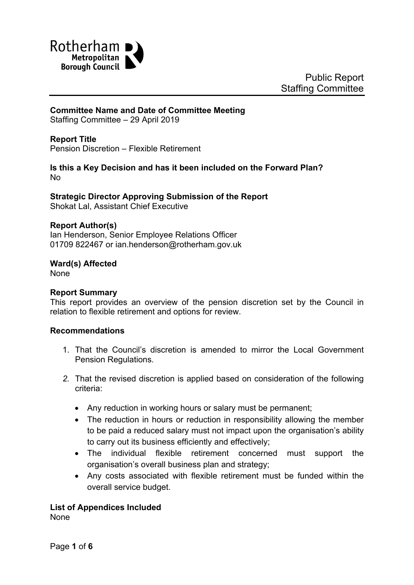

# **Committee Name and Date of Committee Meeting**

Staffing Committee – 29 April 2019

## **Report Title**

Pension Discretion – Flexible Retirement

## **Is this a Key Decision and has it been included on the Forward Plan?** No

# **Strategic Director Approving Submission of the Report**

Shokat Lal, Assistant Chief Executive

## **Report Author(s)**

Ian Henderson, Senior Employee Relations Officer 01709 822467 or ian.henderson@rotherham.gov.uk

## **Ward(s) Affected**

None

## **Report Summary**

This report provides an overview of the pension discretion set by the Council in relation to flexible retirement and options for review.

## **Recommendations**

- 1. That the Council's discretion is amended to mirror the Local Government Pension Regulations.
- *2.* That the revised discretion is applied based on consideration of the following criteria:
	- Any reduction in working hours or salary must be permanent;
	- The reduction in hours or reduction in responsibility allowing the member to be paid a reduced salary must not impact upon the organisation's ability to carry out its business efficiently and effectively;
	- The individual flexible retirement concerned must support the organisation's overall business plan and strategy;
	- Any costs associated with flexible retirement must be funded within the overall service budget.

## **List of Appendices Included**

None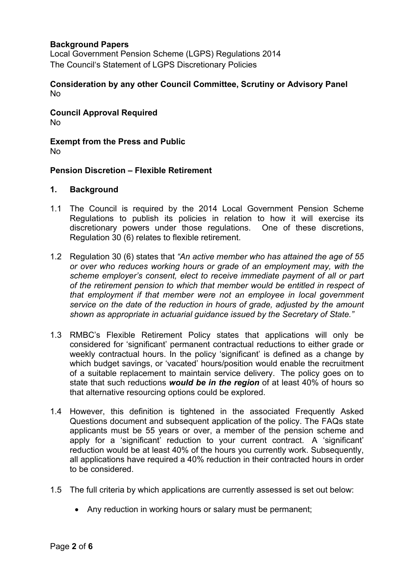## **Background Papers**

Local Government Pension Scheme (LGPS) Regulations 2014 The Council's Statement of LGPS Discretionary Policies

#### **Consideration by any other Council Committee, Scrutiny or Advisory Panel** No

**Council Approval Required** No

**Exempt from the Press and Public** No

#### **Pension Discretion – Flexible Retirement**

#### **1. Background**

- 1.1 The Council is required by the 2014 Local Government Pension Scheme Regulations to publish its policies in relation to how it will exercise its discretionary powers under those regulations. One of these discretions, Regulation 30 (6) relates to flexible retirement.
- 1.2 Regulation 30 (6) states that *"An active member who has attained the age of 55 or over who reduces working hours or grade of an employment may, with the scheme employer's consent, elect to receive immediate payment of all or part of the retirement pension to which that member would be entitled in respect of that employment if that member were not an employee in local government service on the date of the reduction in hours of grade, adjusted by the amount shown as appropriate in actuarial guidance issued by the Secretary of State."*
- 1.3 RMBC's Flexible Retirement Policy states that applications will only be considered for 'significant' permanent contractual reductions to either grade or weekly contractual hours. In the policy 'significant' is defined as a change by which budget savings, or 'vacated' hours/position would enable the recruitment of a suitable replacement to maintain service delivery. The policy goes on to state that such reductions *would be in the region* of at least 40% of hours so that alternative resourcing options could be explored.
- 1.4 However, this definition is tightened in the associated Frequently Asked Questions document and subsequent application of the policy. The FAQs state applicants must be 55 years or over, a member of the pension scheme and apply for a 'significant' reduction to your current contract. A 'significant' reduction would be at least 40% of the hours you currently work. Subsequently, all applications have required a 40% reduction in their contracted hours in order to be considered.
- 1.5 The full criteria by which applications are currently assessed is set out below:
	- Any reduction in working hours or salary must be permanent;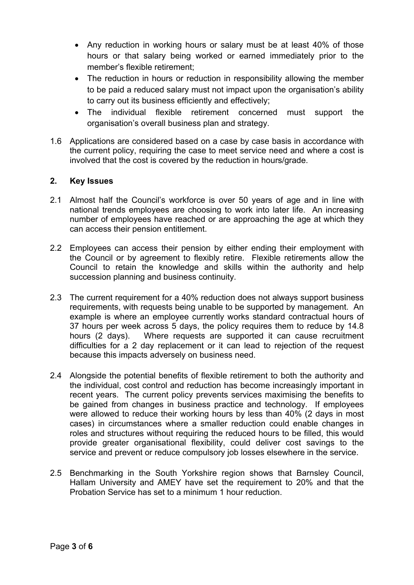- Any reduction in working hours or salary must be at least 40% of those hours or that salary being worked or earned immediately prior to the member's flexible retirement;
- The reduction in hours or reduction in responsibility allowing the member to be paid a reduced salary must not impact upon the organisation's ability to carry out its business efficiently and effectively;
- The individual flexible retirement concerned must support the organisation's overall business plan and strategy.
- 1.6 Applications are considered based on a case by case basis in accordance with the current policy, requiring the case to meet service need and where a cost is involved that the cost is covered by the reduction in hours/grade.

## **2. Key Issues**

- 2.1 Almost half the Council's workforce is over 50 years of age and in line with national trends employees are choosing to work into later life. An increasing number of employees have reached or are approaching the age at which they can access their pension entitlement.
- 2.2 Employees can access their pension by either ending their employment with the Council or by agreement to flexibly retire. Flexible retirements allow the Council to retain the knowledge and skills within the authority and help succession planning and business continuity.
- 2.3 The current requirement for a 40% reduction does not always support business requirements, with requests being unable to be supported by management. An example is where an employee currently works standard contractual hours of 37 hours per week across 5 days, the policy requires them to reduce by 14.8 hours (2 days). Where requests are supported it can cause recruitment difficulties for a 2 day replacement or it can lead to rejection of the request because this impacts adversely on business need.
- 2.4 Alongside the potential benefits of flexible retirement to both the authority and the individual, cost control and reduction has become increasingly important in recent years. The current policy prevents services maximising the benefits to be gained from changes in business practice and technology. If employees were allowed to reduce their working hours by less than 40% (2 days in most cases) in circumstances where a smaller reduction could enable changes in roles and structures without requiring the reduced hours to be filled, this would provide greater organisational flexibility, could deliver cost savings to the service and prevent or reduce compulsory job losses elsewhere in the service.
- 2.5 Benchmarking in the South Yorkshire region shows that Barnsley Council, Hallam University and AMEY have set the requirement to 20% and that the Probation Service has set to a minimum 1 hour reduction.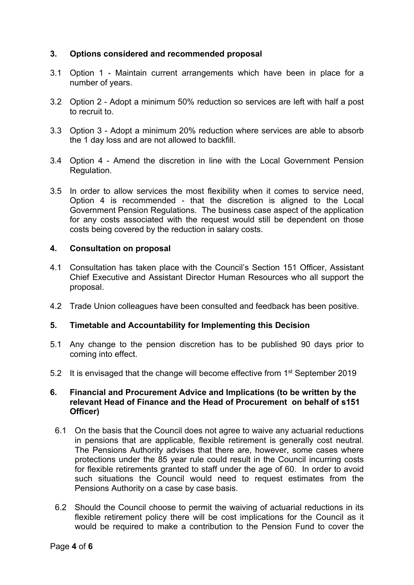## **3. Options considered and recommended proposal**

- 3.1 Option 1 Maintain current arrangements which have been in place for a number of years.
- 3.2 Option 2 Adopt a minimum 50% reduction so services are left with half a post to recruit to.
- 3.3 Option 3 Adopt a minimum 20% reduction where services are able to absorb the 1 day loss and are not allowed to backfill.
- 3.4 Option 4 Amend the discretion in line with the Local Government Pension Regulation.
- 3.5 In order to allow services the most flexibility when it comes to service need, Option 4 is recommended - that the discretion is aligned to the Local Government Pension Regulations. The business case aspect of the application for any costs associated with the request would still be dependent on those costs being covered by the reduction in salary costs.

## **4. Consultation on proposal**

- 4.1 Consultation has taken place with the Council's Section 151 Officer, Assistant Chief Executive and Assistant Director Human Resources who all support the proposal.
- 4.2 Trade Union colleagues have been consulted and feedback has been positive.

## **5. Timetable and Accountability for Implementing this Decision**

- 5.1 Any change to the pension discretion has to be published 90 days prior to coming into effect.
- 5.2 It is envisaged that the change will become effective from 1<sup>st</sup> September 2019

### **6. Financial and Procurement Advice and Implications (to be written by the relevant Head of Finance and the Head of Procurement on behalf of s151 Officer)**

- 6.1 On the basis that the Council does not agree to waive any actuarial reductions in pensions that are applicable, flexible retirement is generally cost neutral. The Pensions Authority advises that there are, however, some cases where protections under the 85 year rule could result in the Council incurring costs for flexible retirements granted to staff under the age of 60. In order to avoid such situations the Council would need to request estimates from the Pensions Authority on a case by case basis.
- 6.2 Should the Council choose to permit the waiving of actuarial reductions in its flexible retirement policy there will be cost implications for the Council as it would be required to make a contribution to the Pension Fund to cover the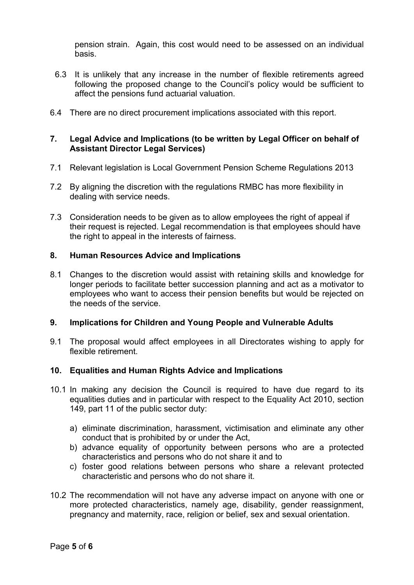pension strain. Again, this cost would need to be assessed on an individual basis.

- 6.3 It is unlikely that any increase in the number of flexible retirements agreed following the proposed change to the Council's policy would be sufficient to affect the pensions fund actuarial valuation.
- 6.4 There are no direct procurement implications associated with this report.

## **7. Legal Advice and Implications (to be written by Legal Officer on behalf of Assistant Director Legal Services)**

- 7.1 Relevant legislation is Local Government Pension Scheme Regulations 2013
- 7.2 By aligning the discretion with the regulations RMBC has more flexibility in dealing with service needs.
- 7.3 Consideration needs to be given as to allow employees the right of appeal if their request is rejected. Legal recommendation is that employees should have the right to appeal in the interests of fairness.

## **8. Human Resources Advice and Implications**

8.1 Changes to the discretion would assist with retaining skills and knowledge for longer periods to facilitate better succession planning and act as a motivator to employees who want to access their pension benefits but would be rejected on the needs of the service.

## **9. Implications for Children and Young People and Vulnerable Adults**

9.1 The proposal would affect employees in all Directorates wishing to apply for flexible retirement.

#### **10. Equalities and Human Rights Advice and Implications**

- 10.1 In making any decision the Council is required to have due regard to its equalities duties and in particular with respect to the Equality Act 2010, section 149, part 11 of the public sector duty:
	- a) eliminate discrimination, harassment, victimisation and eliminate any other conduct that is prohibited by or under the Act,
	- b) advance equality of opportunity between persons who are a protected characteristics and persons who do not share it and to
	- c) foster good relations between persons who share a relevant protected characteristic and persons who do not share it.
- 10.2 The recommendation will not have any adverse impact on anyone with one or more protected characteristics, namely age, disability, gender reassignment, pregnancy and maternity, race, religion or belief, sex and sexual orientation.